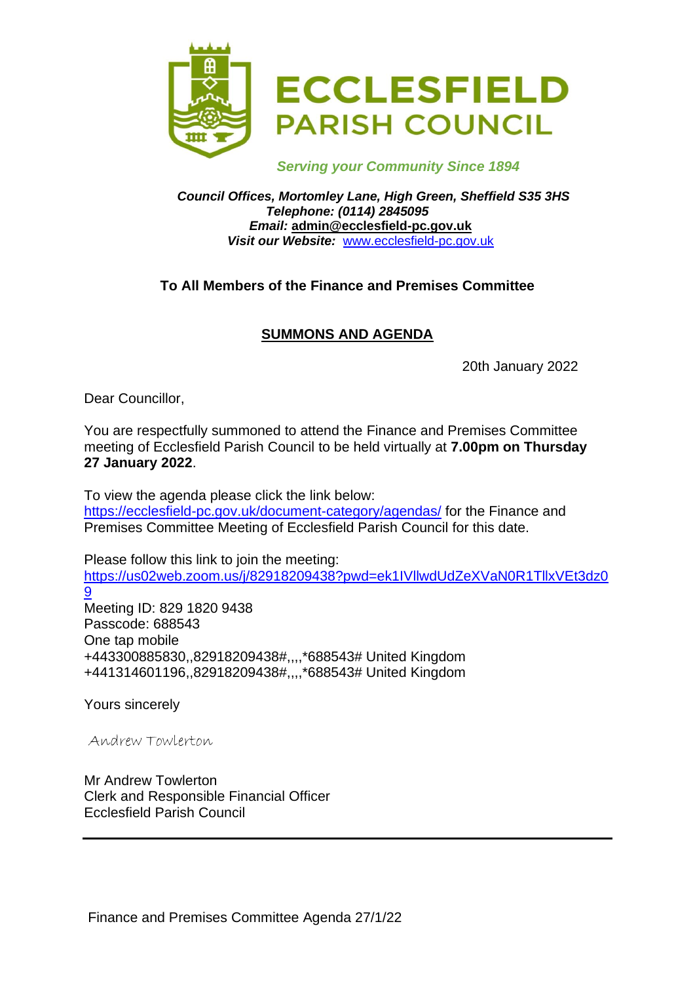

 *Serving your Community Since 1894*

*Council Offices, Mortomley Lane, High Green, Sheffield S35 3HS Telephone: (0114) 2845095 Email:* **admin@ecclesfield-pc.gov.uk** *Visit our Website:* [www.ecclesfield-pc.gov.uk](http://www.ecclesfield-pc.gov.uk/)

# **To All Members of the Finance and Premises Committee**

# **SUMMONS AND AGENDA**

20th January 2022

Dear Councillor,

You are respectfully summoned to attend the Finance and Premises Committee meeting of Ecclesfield Parish Council to be held virtually at **7.00pm on Thursday 27 January 2022**.

To view the agenda please click the link below: <https://ecclesfield-pc.gov.uk/document-category/agendas/> for the Finance and Premises Committee Meeting of Ecclesfield Parish Council for this date.

Please follow this link to join the meeting: [https://us02web.zoom.us/j/82918209438?pwd=ek1IVllwdUdZeXVaN0R1TllxVEt3dz0](https://us02web.zoom.us/j/82918209438?pwd=ek1IVllwdUdZeXVaN0R1TllxVEt3dz09) [9](https://us02web.zoom.us/j/82918209438?pwd=ek1IVllwdUdZeXVaN0R1TllxVEt3dz09)  Meeting ID: 829 1820 9438 Passcode: 688543 One tap mobile

+443300885830,,82918209438#,,,,\*688543# United Kingdom +441314601196,,82918209438#,,,,\*688543# United Kingdom

Yours sincerely

Andrew Towlerton

Mr Andrew Towlerton Clerk and Responsible Financial Officer Ecclesfield Parish Council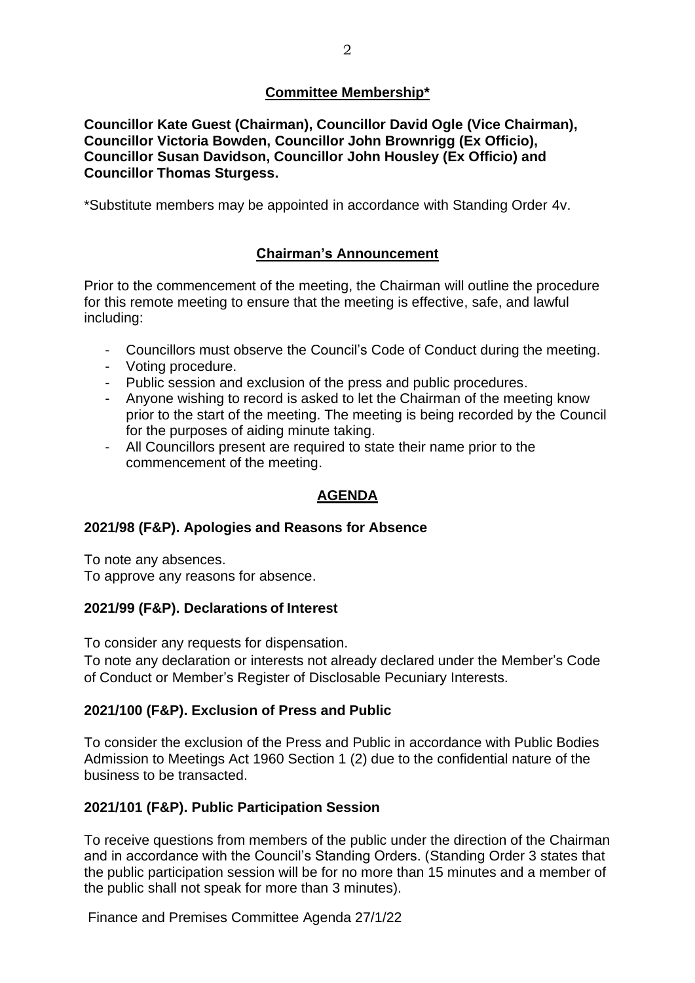## **Committee Membership\***

**Councillor Kate Guest (Chairman), Councillor David Ogle (Vice Chairman), Councillor Victoria Bowden, Councillor John Brownrigg (Ex Officio), Councillor Susan Davidson, Councillor John Housley (Ex Officio) and Councillor Thomas Sturgess.**

\*Substitute members may be appointed in accordance with Standing Order 4v.

# **Chairman's Announcement**

Prior to the commencement of the meeting, the Chairman will outline the procedure for this remote meeting to ensure that the meeting is effective, safe, and lawful including:

- Councillors must observe the Council's Code of Conduct during the meeting.
- Voting procedure.
- Public session and exclusion of the press and public procedures.
- Anyone wishing to record is asked to let the Chairman of the meeting know prior to the start of the meeting. The meeting is being recorded by the Council for the purposes of aiding minute taking.
- All Councillors present are required to state their name prior to the commencement of the meeting.

# **AGENDA**

## **2021/98 (F&P). Apologies and Reasons for Absence**

To note any absences. To approve any reasons for absence.

#### **2021/99 (F&P). Declarations of Interest**

To consider any requests for dispensation.

To note any declaration or interests not already declared under the Member's Code of Conduct or Member's Register of Disclosable Pecuniary Interests.

## **2021/100 (F&P). Exclusion of Press and Public**

To consider the exclusion of the Press and Public in accordance with Public Bodies Admission to Meetings Act 1960 Section 1 (2) due to the confidential nature of the business to be transacted.

## **2021/101 (F&P). Public Participation Session**

To receive questions from members of the public under the direction of the Chairman and in accordance with the Council's Standing Orders. (Standing Order 3 states that the public participation session will be for no more than 15 minutes and a member of the public shall not speak for more than 3 minutes).

Finance and Premises Committee Agenda 27/1/22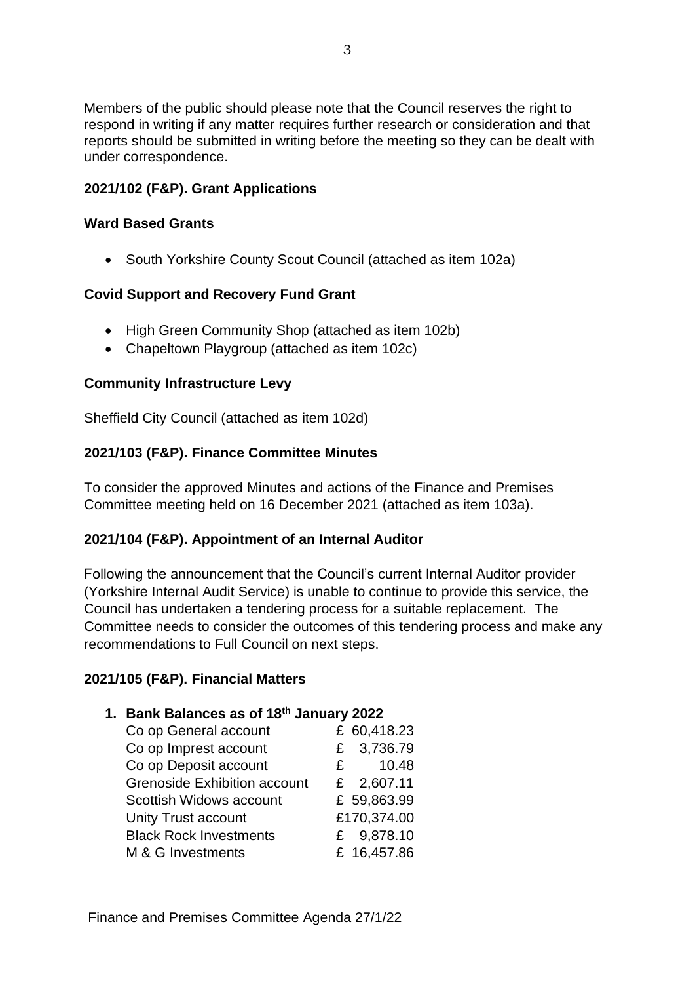Members of the public should please note that the Council reserves the right to respond in writing if any matter requires further research or consideration and that reports should be submitted in writing before the meeting so they can be dealt with under correspondence.

### **2021/102 (F&P). Grant Applications**

#### **Ward Based Grants**

• South Yorkshire County Scout Council (attached as item 102a)

#### **Covid Support and Recovery Fund Grant**

- High Green Community Shop (attached as item 102b)
- Chapeltown Playgroup (attached as item 102c)

#### **Community Infrastructure Levy**

Sheffield City Council (attached as item 102d)

### **2021/103 (F&P). Finance Committee Minutes**

To consider the approved Minutes and actions of the Finance and Premises Committee meeting held on 16 December 2021 (attached as item 103a).

#### **2021/104 (F&P). Appointment of an Internal Auditor**

Following the announcement that the Council's current Internal Auditor provider (Yorkshire Internal Audit Service) is unable to continue to provide this service, the Council has undertaken a tendering process for a suitable replacement. The Committee needs to consider the outcomes of this tendering process and make any recommendations to Full Council on next steps.

#### **2021/105 (F&P). Financial Matters**

# **1. Bank Balances as of 18th January 2022**

| Co op General account               | £ 60,418.23           |
|-------------------------------------|-----------------------|
| Co op Imprest account               | £ 3,736.79            |
| Co op Deposit account               | 10.48<br>$\mathbf{F}$ |
| <b>Grenoside Exhibition account</b> | £ 2,607.11            |
| Scottish Widows account             | £ 59,863.99           |
| <b>Unity Trust account</b>          | £170,374.00           |
| <b>Black Rock Investments</b>       | £ 9,878.10            |
| M & G Investments                   | £ 16,457.86           |